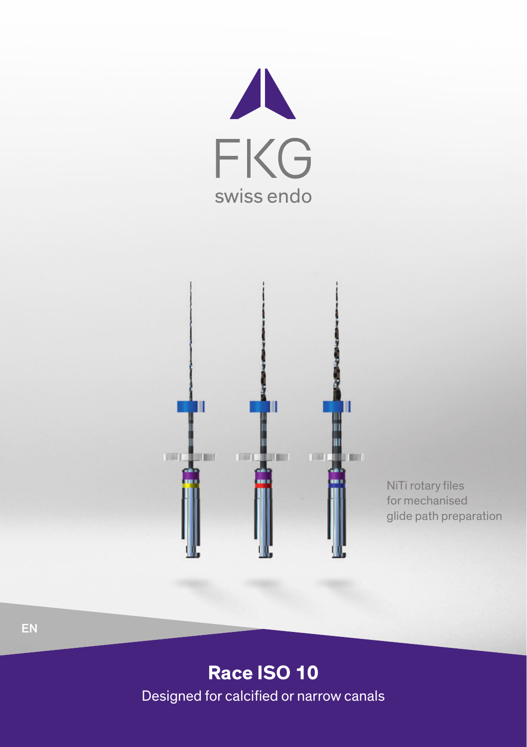



NiTi rotary files for mechanised glide path preparation

## **Race ISO 10**

Designed for calcified or narrow canals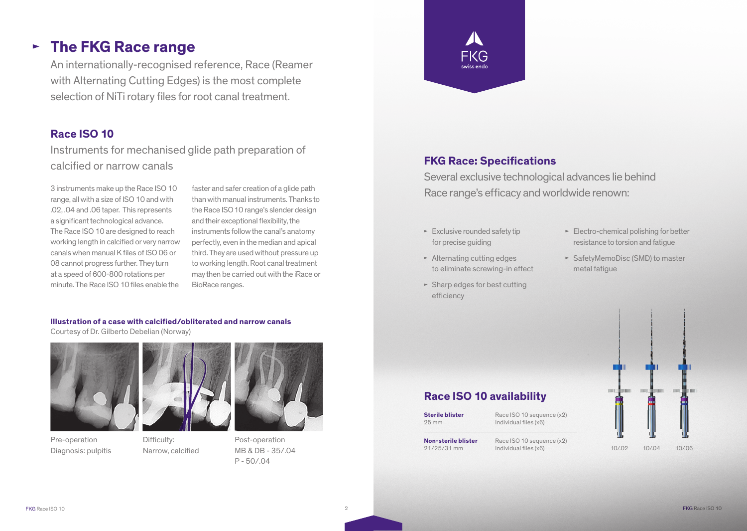# **The FKG Race range**

An internationally-recognised reference, Race (Reamer with Alternating Cutting Edges) is the most complete selection of NiTi rotary files for root canal treatment.

## **Race ISO 10**

Instruments for mechanised glide path preparation of calcified or narrow canals

3 instruments make up the Race ISO 10 range, all with a size of ISO 10 and with .02, .04 and .06 taper. This represents a significant technological advance. The Race ISO 10 are designed to reach working length in calcified or very narrow canals when manual K files of ISO 06 or 08 cannot progress further. They turn at a speed of 600-800 rotations per minute. The Race ISO 10 files enable the faster and safer creation of a glide path than with manual instruments. Thanks to the Race ISO 10 range's slender design and their exceptional flexibility, the instruments follow the canal's anatomy perfectly, even in the median and apical third. They are used without pressure up to working length. Root canal treatment may then be carried out with the iRace or BioRace ranges.

#### **Illustration of a case with calcified/obliterated and narrow canals**

Courtesy of Dr. Gilberto Debelian (Norway)





Pre-operation Diagnosis: pulpitis

Difficulty: Narrow, calcified



FKG

## **FKG Race: Specifications**

Several exclusive technological advances lie behind Race range's efficacy and worldwide renown:

- $\blacktriangleright$  Exclusive rounded safety tip for precise quiding
- $\blacktriangleright$  Alternating cutting edges to eliminate screwing-in effect
- $\blacktriangleright$  Sharp edges for best cutting efficiency
- $\blacktriangleright$  Electro-chemical polishing for better resistance to torsion and fatigue
- ► SafetyMemoDisc (SMD) to master metal fatigue

## **Race ISO 10 availability**

**Sterile blister** 25 mm

Race ISO 10 sequence (x2) Individual files (x6)

**Non-sterile blister** 21/25/31 mm

Race ISO 10 sequence (x2) Individual files (x6)